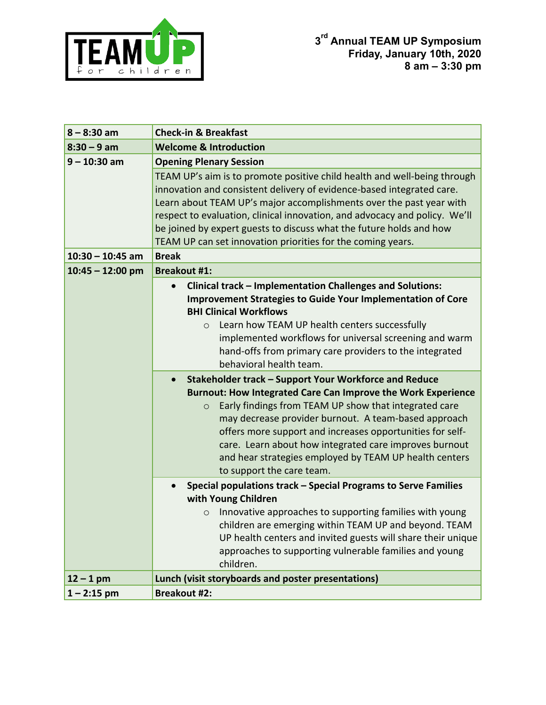

| $8 - 8:30$ am      | <b>Check-in &amp; Breakfast</b>                                                                                                                                                                                                                                                                                                                                                                                                              |
|--------------------|----------------------------------------------------------------------------------------------------------------------------------------------------------------------------------------------------------------------------------------------------------------------------------------------------------------------------------------------------------------------------------------------------------------------------------------------|
| $8:30 - 9$ am      | <b>Welcome &amp; Introduction</b>                                                                                                                                                                                                                                                                                                                                                                                                            |
| $9 - 10:30$ am     | <b>Opening Plenary Session</b>                                                                                                                                                                                                                                                                                                                                                                                                               |
|                    | TEAM UP's aim is to promote positive child health and well-being through<br>innovation and consistent delivery of evidence-based integrated care.<br>Learn about TEAM UP's major accomplishments over the past year with<br>respect to evaluation, clinical innovation, and advocacy and policy. We'll<br>be joined by expert guests to discuss what the future holds and how<br>TEAM UP can set innovation priorities for the coming years. |
| $10:30 - 10:45$ am | <b>Break</b>                                                                                                                                                                                                                                                                                                                                                                                                                                 |
| $10:45 - 12:00$ pm | <b>Breakout #1:</b>                                                                                                                                                                                                                                                                                                                                                                                                                          |
|                    | <b>Clinical track - Implementation Challenges and Solutions:</b><br>$\bullet$<br><b>Improvement Strategies to Guide Your Implementation of Core</b><br><b>BHI Clinical Workflows</b><br>Learn how TEAM UP health centers successfully<br>$\circ$<br>implemented workflows for universal screening and warm<br>hand-offs from primary care providers to the integrated<br>behavioral health team.                                             |
|                    | Stakeholder track - Support Your Workforce and Reduce<br>$\bullet$                                                                                                                                                                                                                                                                                                                                                                           |
|                    | Burnout: How Integrated Care Can Improve the Work Experience<br>Early findings from TEAM UP show that integrated care<br>$\circ$<br>may decrease provider burnout. A team-based approach<br>offers more support and increases opportunities for self-<br>care. Learn about how integrated care improves burnout<br>and hear strategies employed by TEAM UP health centers<br>to support the care team.                                       |
|                    | Special populations track - Special Programs to Serve Families                                                                                                                                                                                                                                                                                                                                                                               |
|                    | with Young Children                                                                                                                                                                                                                                                                                                                                                                                                                          |
|                    | Innovative approaches to supporting families with young<br>$\circ$<br>children are emerging within TEAM UP and beyond. TEAM<br>UP health centers and invited guests will share their unique<br>approaches to supporting vulnerable families and young<br>children.                                                                                                                                                                           |
| $12 - 1$ pm        | Lunch (visit storyboards and poster presentations)                                                                                                                                                                                                                                                                                                                                                                                           |
| $1 - 2:15$ pm      | <b>Breakout #2:</b>                                                                                                                                                                                                                                                                                                                                                                                                                          |